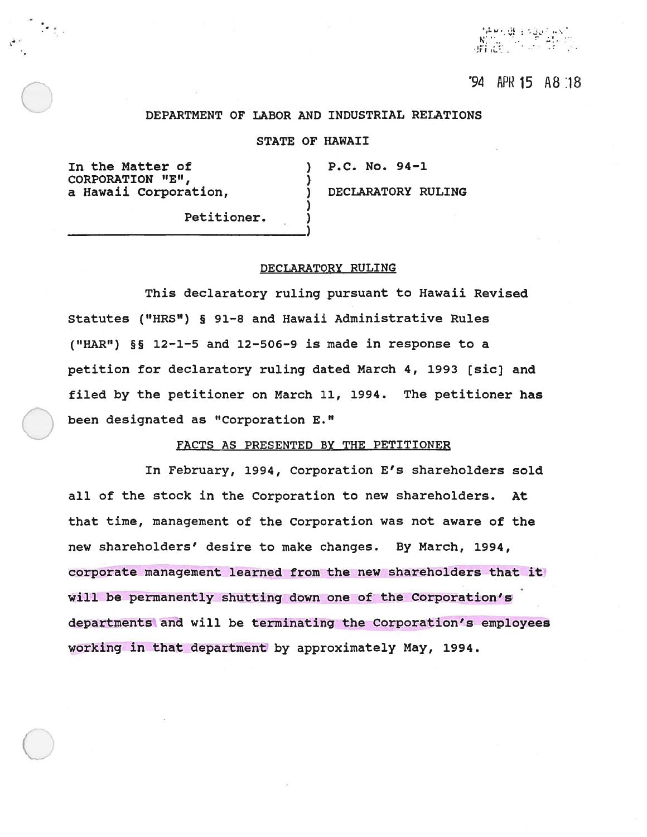al i silvanis.<br>Politika  $\rm 3Fe/H^{-1}$ 

# "94 APR 15 A 8 18

### DEPARTMENT OF LABOR AND INDUSTRIAL RELATIONS

## STATE OF HAWAII

In the Matter of (1986) P.C. No. 94-1 CORPORATION "E", a Hawaii Corporation,  $\qquad \qquad$  ) DECLARATORY RULING

Petitioner.

#### DECLARATORY RULING

This declaratory ruling pursuan<sup>t</sup> to Hawaii Revised Statutes ("HRS") § 91-8 and Hawaii Administrative Rules ("HAR")  $\S$ § 12-1-5 and 12-506-9 is made in response to a petition for declaratory ruling dated March 4, 1993 [sic] and filed by the petitioner on March 11, 1994. The petitioner has been designated as "Corporation E."

#### FACTS AS PRESENTED BY THE PETITIONER

In February, 1994, Corporation E's shareholders sold all of the stock in the Corporation to new shareholders. At that time, managemen<sup>t</sup> of the Corporation was not aware of the new shareholders' desire to make changes. By March, 1994, corporate managemen<sup>t</sup> learned from the new shareholders that it will be permanently shutting down one of the Corporation's departments and will be terminating the Corporation's employees working in that department by approximately May, 1994.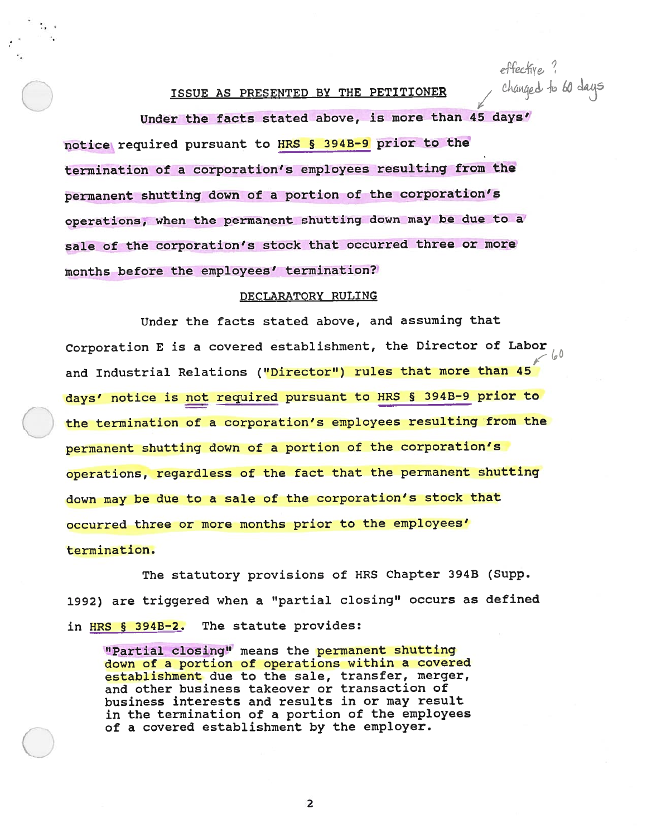effective."<br>Changed to 60 days

# ISSUE AS PRESENTED BY THE PETITIONER

Under the facts stated above, is more than 45 days' notice required pursuan<sup>t</sup> to MRS § 394B-9 prior to the termination of <sup>a</sup> corporation's employees resulting from the permanen<sup>t</sup> shutting down of <sup>a</sup> portion of the corporation's operations, when the permanen<sup>t</sup> shutting down may be due to <sup>a</sup> sale of the corporation's stock that occurred three or more months before the employees' termination?

### DECLARATORY RULING

Under the facts stated above, and assuming that Corporation <sup>E</sup> is <sup>a</sup> covered establishment, the Director of Labor and Industrial Relations ("Director") rules that more than 45 days' notice is not required pursuan<sup>t</sup> to MRS § 394B-9 prior to the termination of <sup>a</sup> corporation's employees resulting from the permanen<sup>t</sup> shutting down of <sup>a</sup> portion of the corporation's operations, regardless of the fact that the permanen<sup>t</sup> shutting down may be due to <sup>a</sup> sale of the corporation's stock that occurred three or more months prior to the employees' termination.

The statutory provisions of HRS Chapter 394B (Supp. 1992) are triggered when <sup>a</sup> "partial closing" occurs as defined in HRS § 394B-2. The statute provides:

"Partial closing" means the permanen<sup>t</sup> shutting down of <sup>a</sup> portion of operations within <sup>a</sup> covered establishment due to the sale, transfer, merger, and other business takeover or transaction of business interests and results in or may result in the termination of <sup>a</sup> portion of the employees of <sup>a</sup> covered establishment by the employer.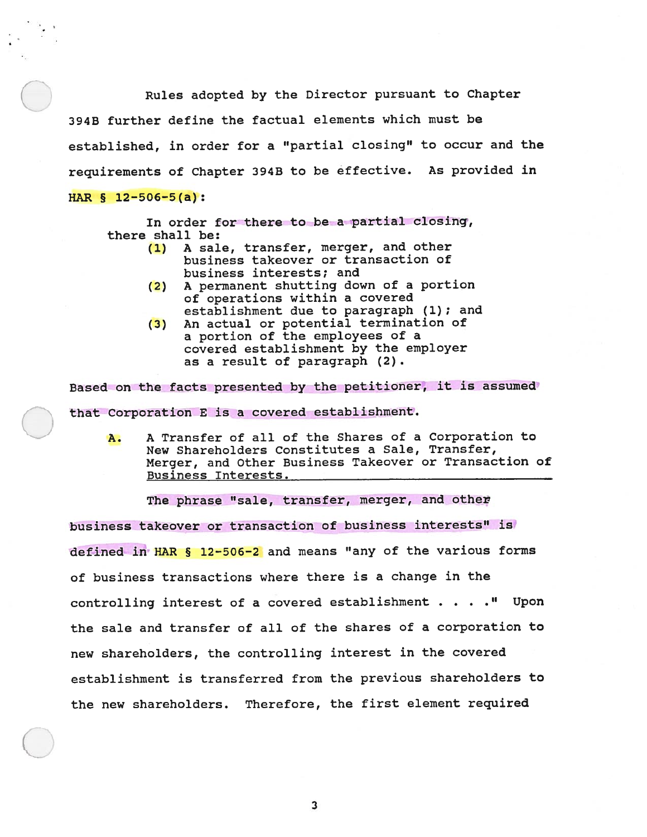Rules adopted by the Director pursuan<sup>t</sup> to Chapter 394B further define the factual elements which must be established, in order for <sup>a</sup> "partial closing" to occur and the requirements of Chapter 394B to be effective. As provided in HAR § 12-506-5(a):

In order for there to be a partial closing,

there shall be:

- (1) <sup>A</sup> sale, transfer, merger, and other business takeover or transaction of business interests; and
- (2) <sup>A</sup> permanen<sup>t</sup> shutting down of <sup>a</sup> portion of operations within <sup>a</sup> covered establishment due to paragraph (1); and
- (3) An actual or potential termination of <sup>a</sup> portion of the employees of <sup>a</sup> covered establishment by the employer as <sup>a</sup> result of paragraph (2).

Based on the facts presented by the petitioner, it is assumed that Corporation E is a covered establishment.<br>**A.** A Transfer of all of the Shares of a Corporation to

New Shareholders Constitutes <sup>a</sup> Sale, Transfer, Merger, and Other Business Takeover or Transaction of Business Interests.

The <sup>p</sup>hrase "sale, transfer, merger, and other

business takeover or transaction of business interests" is defined in HAR § 12-506-2 and means "any of the various forms of business transactions where there is <sup>a</sup> change in the controlling interest of <sup>a</sup> covered establishment . . . •" Upon the sale and transfer of all of the shares of <sup>a</sup> corporation to new shareholders, the controlling interest in the covered establishment is transferred from the previous shareholders to the new shareholders. Therefore, the first element required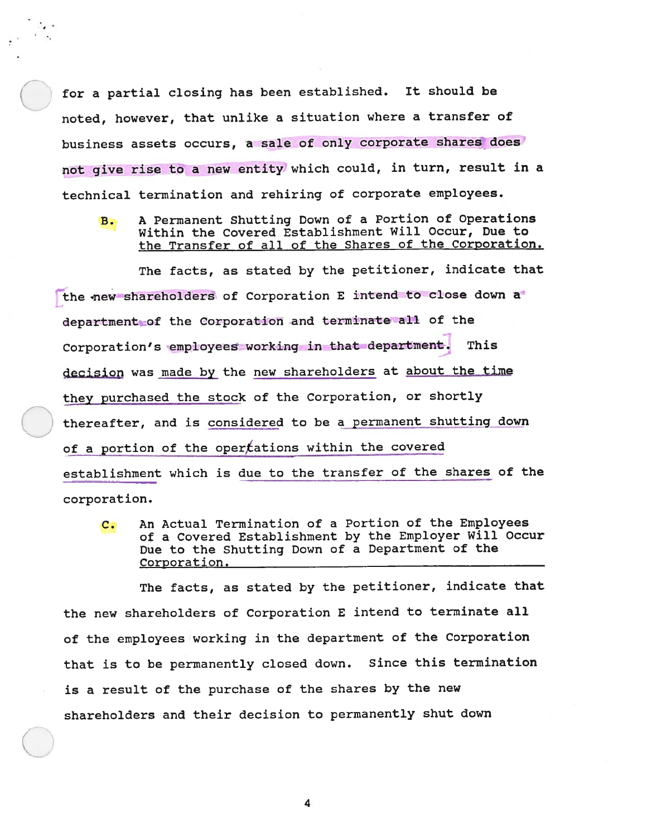for <sup>a</sup> partial closing has been established. It should be noted, however, that unlike <sup>a</sup> situation where <sup>a</sup> transfer of business assets occurs, a sale of only corporate shares does not give rise to a new entity which could, in turn, result in a technical termination and rehiring of corporate employees.

B. <sup>A</sup> Permanent Shutting Down of <sup>a</sup> Portion of Operations Within the Covered Establishment Will Occur, Due to the Transfer of all of the Shares of the Corporation.

The facts, as stated by the petitioner, indicate that the new shareholders of Corporation <sup>E</sup> intend to close down <sup>a</sup> department of the Corporation and terminate all of the Corporation's employees working in that department. This decision was made by the new shareholders at about the time they purchased the stock of the Corporation, or shortly thereafter, and is considered to be <sup>a</sup> permanen<sup>t</sup> shutting down of a portion of the opertations within the covered establishment which is due to the transfer of the shares of the corporation.

C. An Actual Termination of <sup>a</sup> Portion of the Employees of <sup>a</sup> Covered Establishment by the Employer Will Occur Due to the Shutting Down of <sup>a</sup> Department of the Corporation.

The facts, as stated by the petitioner, indicate that the new shareholders of Corporation <sup>E</sup> intend to terminate all of the employees working in the department of the Corporation that is to be permanently closed down. Since this termination is <sup>a</sup> result of the purchase of the shares by the new shareholders and their decision to permanently shut down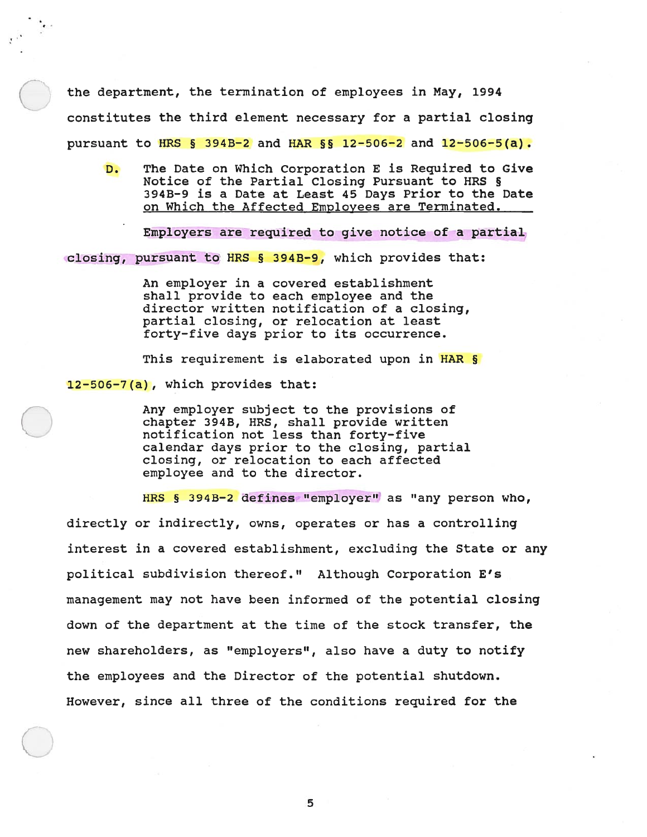the department, the termination of employees in May, 1994<br>constitutes the third element necessary for a partial closing pursuant to HRS § 394B-2 and HAR §  $\frac{12-506-2}{2}$  and  $\frac{12-506-5(a)}{2}$ .

D. The Date on Which Corporation E is Required to Give Notice of the Partial Closing Pursuant to HRS § 394B—9 is <sup>a</sup> Date at Least 45 Days Prior to the Date on Which the Affected Employees are Terminated.

Employers are required to give notice of <sup>a</sup> partial

c1osing, pursuan<sup>t</sup> to HRS § 3943-9, which provides that:

An employer in <sup>a</sup> covered establishment shall provide to each employee and the director written notification of <sup>a</sup> closing, partial closing, or relocation at least forty—five days prior to its occurrence.

This requirement is elaborated upon in HAR §

12-506-7(a), which provides that:

Any employer subject to the provisions of chapter 3943, HRS, shall provide written notification not less than forty-five calendar days prior to the closing, partial closing, or relocation to each affected employee and to the director.

HRS § 3943-2 defines "employer' as "any person who, directly or indirectly, owns, operates or has <sup>a</sup> controlling interest in <sup>a</sup> covered establishment, excluding the State or any political subdivision thereof." Although Corporation E's managemen<sup>t</sup> may not have been informed of the potential closing down of the department at the time of the stock transfer, the new shareholders, as "employers", also have <sup>a</sup> duty to notify the employees and the Director of the potential shutdown. However, since all three of the conditions required for the